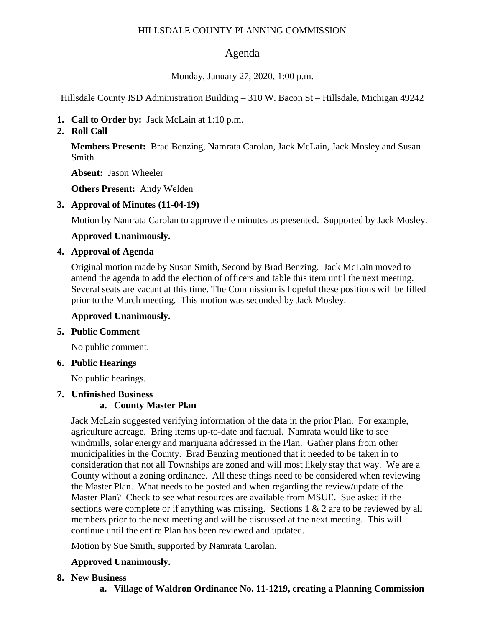#### HILLSDALE COUNTY PLANNING COMMISSION

## Agenda

Monday, January 27, 2020, 1:00 p.m.

Hillsdale County ISD Administration Building – 310 W. Bacon St – Hillsdale, Michigan 49242

- **1. Call to Order by:** Jack McLain at 1:10 p.m.
- **2. Roll Call**

**Members Present:** Brad Benzing, Namrata Carolan, Jack McLain, Jack Mosley and Susan Smith

**Absent:** Jason Wheeler

**Others Present:** Andy Welden

**3. Approval of Minutes (11-04-19)**

Motion by Namrata Carolan to approve the minutes as presented. Supported by Jack Mosley.

**Approved Unanimously.**

## **4. Approval of Agenda**

Original motion made by Susan Smith, Second by Brad Benzing. Jack McLain moved to amend the agenda to add the election of officers and table this item until the next meeting. Several seats are vacant at this time. The Commission is hopeful these positions will be filled prior to the March meeting. This motion was seconded by Jack Mosley.

## **Approved Unanimously.**

## **5. Public Comment**

No public comment.

#### **6. Public Hearings**

No public hearings.

## **7. Unfinished Business**

## **a. County Master Plan**

Jack McLain suggested verifying information of the data in the prior Plan. For example, agriculture acreage. Bring items up-to-date and factual. Namrata would like to see windmills, solar energy and marijuana addressed in the Plan. Gather plans from other municipalities in the County. Brad Benzing mentioned that it needed to be taken in to consideration that not all Townships are zoned and will most likely stay that way. We are a County without a zoning ordinance. All these things need to be considered when reviewing the Master Plan. What needs to be posted and when regarding the review/update of the Master Plan? Check to see what resources are available from MSUE. Sue asked if the sections were complete or if anything was missing. Sections 1 & 2 are to be reviewed by all members prior to the next meeting and will be discussed at the next meeting. This will continue until the entire Plan has been reviewed and updated.

Motion by Sue Smith, supported by Namrata Carolan.

## **Approved Unanimously.**

## **8. New Business**

**a. Village of Waldron Ordinance No. 11-1219, creating a Planning Commission**